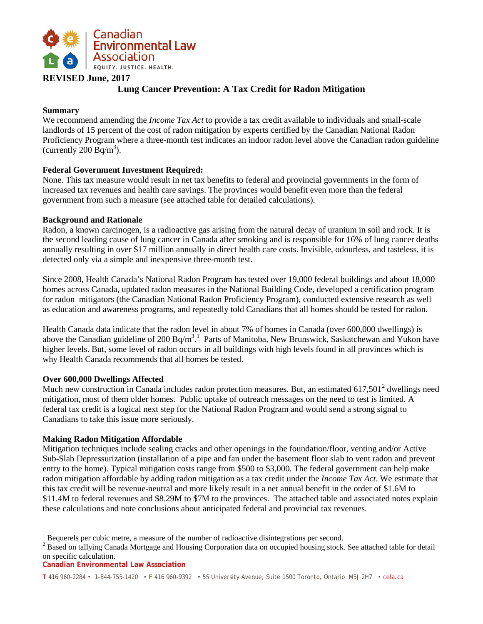

## **REVISED June, 2017**

## **Lung Cancer Prevention: A Tax Credit for Radon Mitigation**

## **Summary**

We recommend amending the *Income Tax Act* to provide a tax credit available to individuals and small-scale landlords of 15 percent of the cost of radon mitigation by experts certified by the Canadian National Radon Proficiency Program where a three-month test indicates an indoor radon level above the Canadian radon guideline (currently 200  $\overline{\text{Bq}}/\text{m}^3$ ).

## **Federal Government Investment Required:**

None. This tax measure would result in net tax benefits to federal and provincial governments in the form of increased tax revenues and health care savings. The provinces would benefit even more than the federal government from such a measure (see attached table for detailed calculations).

### **Background and Rationale**

Radon, a known carcinogen, is a radioactive gas arising from the natural decay of uranium in soil and rock. It is the second leading cause of lung cancer in Canada after smoking and is responsible for 16% of lung cancer deaths annually resulting in over \$17 million annually in direct health care costs. Invisible, odourless, and tasteless, it is detected only via a simple and inexpensive three-month test.

Since 2008, Health Canada's National Radon Program has tested over 19,000 federal buildings and about 18,000 homes across Canada, updated radon measures in the National Building Code, developed a certification program for radon mitigators (the Canadian National Radon Proficiency Program), conducted extensive research as well as education and awareness programs, and repeatedly told Canadians that all homes should be tested for radon.

Health Canada data indicate that the radon level in about 7% of homes in Canada (over 600,000 dwellings) is above the Canadian guideline of 200 Bq/m<sup>3</sup>.<sup>[1](#page-0-0)</sup> Parts of Manitoba, New Brunswick, Saskatchewan and Yukon have higher levels. But, some level of radon occurs in all buildings with high levels found in all provinces which is why Health Canada recommends that all homes be tested.

## **Over 600,000 Dwellings Affected**

Much new construction in Canada includes radon protection measures. But, an estimated  $617,501^2$  $617,501^2$  dwellings need mitigation, most of them older homes. Public uptake of outreach messages on the need to test is limited. A federal tax credit is a logical next step for the National Radon Program and would send a strong signal to Canadians to take this issue more seriously.

#### **Making Radon Mitigation Affordable**

Mitigation techniques include sealing cracks and other openings in the foundation/floor, venting and/or Active Sub-Slab Depressurization (installation of a pipe and fan under the basement floor slab to vent radon and prevent entry to the home). Typical mitigation costs range from \$500 to \$3,000. The federal government can help make radon mitigation affordable by adding radon mitigation as a tax credit under the *Income Tax Act*. We estimate that this tax credit will be revenue-neutral and more likely result in a net annual benefit in the order of \$1.6M to \$11.4M to federal revenues and \$8.29M to \$7M to the provinces. The attached table and associated notes explain these calculations and note conclusions about anticipated federal and provincial tax revenues.

**Canadian Environmental Law Association**

<span id="page-0-1"></span><span id="page-0-0"></span><sup>&</sup>lt;sup>1</sup> Bequerels per cubic metre, a measure of the number of radioactive disintegrations per second. <sup>2</sup> Based on tallying Canada Mortgage and Housing Corporation data on occupied housing stock. See attached table for detail on specific calculation.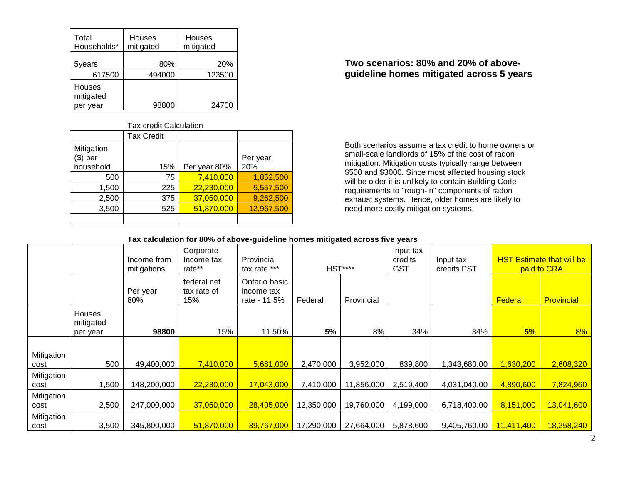| Total                              | Houses    | Houses    |
|------------------------------------|-----------|-----------|
| Households*                        | mitigated | mitigated |
| 5years                             | 80%       | 20%       |
| 617500                             | 494000    | 123500    |
| Houses<br>mitigated<br>vear<br>per | 98800     | 24700     |

#### Tax credit Calculation

|            | <b>Tax Credit</b> |              |            |
|------------|-------------------|--------------|------------|
| Mitigation |                   |              |            |
| (\$) per   |                   |              | Per year   |
| household  | 15%               | Per year 80% | 20%        |
| 500        | 75                | 7,410,000    | 1,852,500  |
| 1,500      | 225               | 22,230,000   | 5,557,500  |
| 2,500      | 375               | 37,050,000   | 9,262,500  |
| 3,500      | 525               | 51,870,000   | 12,967,500 |
|            |                   |              |            |

## Two scenarios: 80% and 20% of above-617500 494000 123500 **guideline homes mitigated across 5 years**

Both scenarios assume a tax credit to home owners or small-scale landlords of 15% of the cost of radon mitigation. Mitigation costs typically range between \$500 and \$3000. Since most affected housing stock will be older it is unlikely to contain Building Code requirements to "rough-in" components of radon exhaust systems. Hence, older homes are likely to need more costly mitigation systems.

### **Tax calculation for 80% of above-guideline homes mitigated across five years**

|                    |                                        | Income from<br>mitigations | Corporate<br>Income tax<br>rate** | Provincial<br>tax rate ***                  | <b>HST****</b> |            | Input tax<br>credits<br>Input tax<br><b>GST</b><br>credits PST |              | <b>HST Estimate that will be</b><br>paid to CRA |            |
|--------------------|----------------------------------------|----------------------------|-----------------------------------|---------------------------------------------|----------------|------------|----------------------------------------------------------------|--------------|-------------------------------------------------|------------|
|                    |                                        | Per year<br>80%            | federal net<br>tax rate of<br>15% | Ontario basic<br>income tax<br>rate - 11.5% | Federal        | Provincial |                                                                |              | Federal                                         | Provincial |
|                    | <b>Houses</b><br>mitigated<br>per year | 98800                      | 15%                               | 11.50%                                      | 5%             | 8%         | 34%                                                            | 34%          | 5%                                              | 8%         |
| Mitigation         |                                        |                            |                                   |                                             |                |            |                                                                |              |                                                 |            |
| cost               | 500                                    | 49,400,000                 | 7,410,000                         | 5,681,000                                   | 2,470,000      | 3,952,000  | 839,800                                                        | 343,680.00   | 1,630,200                                       | 2,608,320  |
| Mitigation<br>cost | 1,500                                  | 148,200,000                | 22,230,000                        | 17,043,000                                  | 7,410,000      | 11,856,000 | 2,519,400                                                      | 4,031,040.00 | 4,890,600                                       | 7,824,960  |
| Mitigation<br>cost | 2,500                                  | 247,000,000                | 37,050,000                        | 28,405,000                                  | 12,350,000     | 19,760,000 | 4,199,000                                                      | 6,718,400.00 | 8,151,000                                       | 13,041,600 |
| Mitigation<br>cost | 3,500                                  | 345,800,000                | 51,870,000                        | 39,767,000                                  | 17,290,000     | 27,664,000 | 5,878,600                                                      | 9,405,760.00 | 11,411,400                                      | 18,258,240 |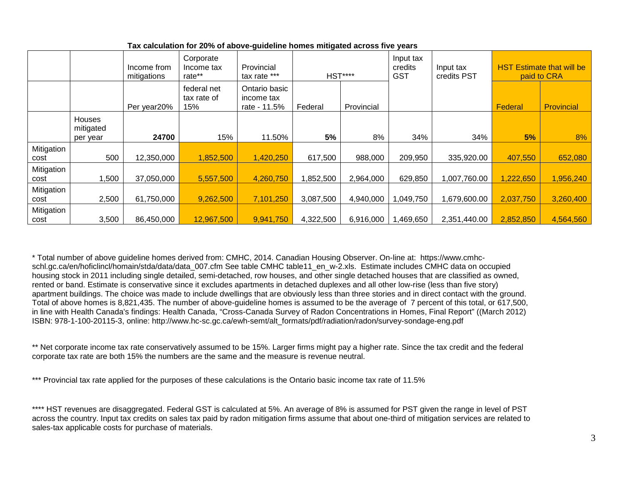|                    |                                        | Income from<br>mitigations | Corporate<br>Income tax<br>rate** | Provincial<br>tax rate ***                  | <b>HST****</b> |            | Input tax<br>credits<br><b>GST</b> | Input tax<br>credits PST | <b>HST Estimate that will be</b><br>paid to CRA |            |
|--------------------|----------------------------------------|----------------------------|-----------------------------------|---------------------------------------------|----------------|------------|------------------------------------|--------------------------|-------------------------------------------------|------------|
|                    |                                        | Per year20%                | federal net<br>tax rate of<br>15% | Ontario basic<br>income tax<br>rate - 11.5% | Federal        | Provincial |                                    |                          | Federal                                         | Provincial |
|                    | <b>Houses</b><br>mitigated<br>per year | 24700                      | 15%                               | 11.50%                                      | 5%             | 8%         | 34%                                | 34%                      | 5%                                              | 8%         |
| Mitigation<br>cost | 500                                    | 12,350,000                 | 1,852,500                         | 1,420,250                                   | 617,500        | 988,000    | 209,950                            | 335,920.00               | 407,550                                         | 652,080    |
| Mitigation<br>cost | 1,500                                  | 37,050,000                 | 5,557,500                         | 4,260,750                                   | 1,852,500      | 2,964,000  | 629,850                            | ,007,760.00              | 1,222,650                                       | 1,956,240  |
| Mitigation<br>cost | 2,500                                  | 61,750,000                 | 9,262,500                         | 7,101,250                                   | 3,087,500      | 4,940,000  | 1,049,750                          | 1,679,600.00             | 2,037,750                                       | 3,260,400  |
| Mitigation<br>cost | 3,500                                  | 86,450,000                 | 12,967,500                        | 9,941,750                                   | 4,322,500      | 6,916,000  | ,469,650                           | 2,351,440.00             | 2,852,850                                       | 4,564,560  |

**Tax calculation for 20% of above-guideline homes mitigated across five years**

\* Total number of above guideline homes derived from: CMHC, 2014. Canadian Housing Observer. On-line at: https://www.cmhcschl.gc.ca/en/hoficlincl/homain/stda/data/data\_007.cfm See table CMHC table11\_en\_w-2.xls. Estimate includes CMHC data on occupied housing stock in 2011 including single detailed, semi-detached, row houses, and other single detached houses that are classified as owned, rented or band. Estimate is conservative since it excludes apartments in detached duplexes and all other low-rise (less than five story) apartment buildings. The choice was made to include dwellings that are obviously less than three stories and in direct contact with the ground. Total of above homes is 8,821,435. The number of above-guideline homes is assumed to be the average of 7 percent of this total, or 617,500, in line with Health Canada's findings: Health Canada, "Cross-Canada Survey of Radon Concentrations in Homes, Final Report" ((March 2012) ISBN: 978-1-100-20115-3, online: http://www.hc-sc.gc.ca/ewh-semt/alt\_formats/pdf/radiation/radon/survey-sondage-eng.pdf

\*\* Net corporate income tax rate conservatively assumed to be 15%. Larger firms might pay a higher rate. Since the tax credit and the federal corporate tax rate are both 15% the numbers are the same and the measure is revenue neutral.

\*\*\* Provincial tax rate applied for the purposes of these calculations is the Ontario basic income tax rate of 11.5%

\*\*\*\* HST revenues are disaggregated. Federal GST is calculated at 5%. An average of 8% is assumed for PST given the range in level of PST across the country. Input tax credits on sales tax paid by radon mitigation firms assume that about one-third of mitigation services are related to sales-tax applicable costs for purchase of materials.